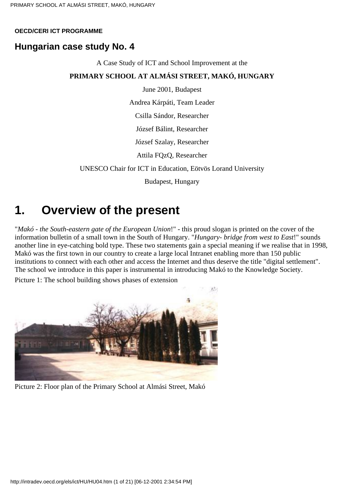#### **OECD/CERI ICT PROGRAMME**

## **Hungarian case study No. 4**

A Case Study of ICT and School Improvement at the

#### **PRIMARY SCHOOL AT ALMÁSI STREET, MAKÓ, HUNGARY**

June 2001, Budapest

Andrea Kárpáti, Team Leader

Csilla Sándor, Researcher

József Bálint, Researcher

József Szalay, Researcher

Attila FQzQ, Researcher

UNESCO Chair for ICT in Education, Eötvös Lorand University

Budapest, Hungary

## **1. Overview of the present**

"*Makó - the South-eastern gate of the European Union*!" - this proud slogan is printed on the cover of the information bulletin of a small town in the South of Hungary. "*Hungary- bridge from west to East*!" sounds another line in eye-catching bold type. These two statements gain a special meaning if we realise that in 1998, Makó was the first town in our country to create a large local Intranet enabling more than 150 public institutions to connect with each other and access the Internet and thus deserve the title "digital settlement". The school we introduce in this paper is instrumental in introducing Makó to the Knowledge Society.

Picture 1: The school building shows phases of extension



Picture 2: Floor plan of the Primary School at Almási Street, Makó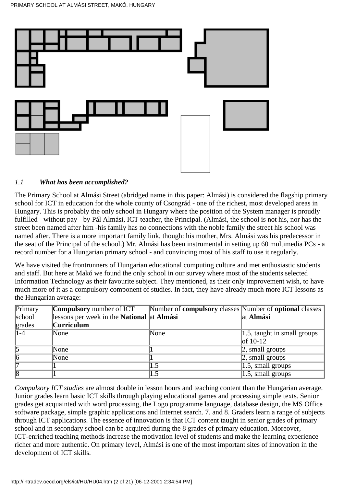

#### *1.1 What has been accomplished?*

The Primary School at Almási Street (abridged name in this paper: Almási) is considered the flagship primary school for ICT in education for the whole county of Csongrád - one of the richest, most developed areas in Hungary. This is probably the only school in Hungary where the position of the System manager is proudly fulfilled - without pay - by Pál Almási, ICT teacher, the Principal. (Almási, the school is not his, nor has the street been named after him -his family has no connections with the noble family the street his school was named after. There is a more important family link, though: his mother, Mrs. Almási was his predecessor in the seat of the Principal of the school.) Mr. Almási has been instrumental in setting up 60 multimedia PCs - a record number for a Hungarian primary school - and convincing most of his staff to use it regularly.

We have visited the frontrunners of Hungarian educational computing culture and met enthusiastic students and staff. But here at Makó we found the only school in our survey where most of the students selected Information Technology as their favourite subject. They mentioned, as their only improvement wish, to have much more of it as a compulsory component of studies. In fact, they have already much more ICT lessons as the Hungarian average:

| Primary   | <b>Compulsory</b> number of ICT                          | Number of <b>compulsory</b> classes Number of <b>optional</b> classes |                                      |
|-----------|----------------------------------------------------------|-----------------------------------------------------------------------|--------------------------------------|
| school    | lessons per week in the <b>National</b> at <b>Almasi</b> |                                                                       | at Almási                            |
| grades    | <b>Curriculum</b>                                        |                                                                       |                                      |
| $ 1 - 4 $ | None                                                     | None                                                                  | $\vert 1.5$ , taught in small groups |
|           |                                                          |                                                                       | $\vert$ of 10-12                     |
|           | None                                                     |                                                                       | $ 2$ , small groups                  |
|           | None                                                     |                                                                       | $\alpha$ , small groups              |
|           |                                                          | . . 5                                                                 | $ 1.5$ , small groups                |
|           |                                                          | $\overline{.5}$                                                       | $1.5$ , small groups                 |

*Compulsory ICT studies* are almost double in lesson hours and teaching content than the Hungarian average. Junior grades learn basic ICT skills through playing educational games and processing simple texts. Senior grades get acquainted with word processing, the Logo programme language, database design, the MS Office software package, simple graphic applications and Internet search. 7. and 8. Graders learn a range of subjects through ICT applications. The essence of innovation is that ICT content taught in senior grades of primary school and in secondary school can be acquired during the 8 grades of primary education. Moreover, ICT-enriched teaching methods increase the motivation level of students and make the learning experience richer and more authentic. On primary level, Almási is one of the most important sites of innovation in the development of ICT skills.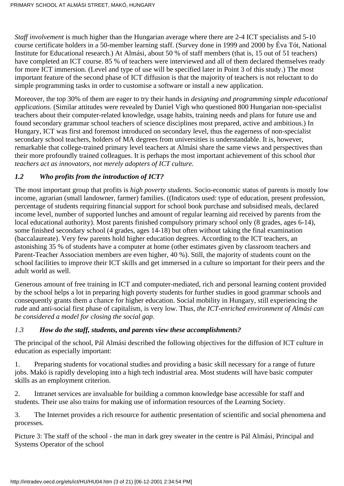*Staff involvement* is much higher than the Hungarian average where there are 2-4 ICT specialists and 5-10 course certificate holders in a 50-member learning staff. (Survey done in 1999 and 2000 by Éva Tót, National Institute for Educational research.) At Almási, about 50 % of staff members (that is, 15 out of 51 teachers) have completed an ICT course. 85 % of teachers were interviewed and all of them declared themselves ready for more ICT immersion. (Level and type of use will be specified later in Point 3 of this study.) The most important feature of the second phase of ICT diffusion is that the majority of teachers is not reluctant to do simple programming tasks in order to customise a software or install a new application.

Moreover, the top 30% of them are eager to try their hands in *designing and programming simple educational applications*. (Similar attitudes were revealed by Daniel Vígh who questioned 800 Hungarian non-specialist teachers about their computer-related knowledge, usage habits, training needs and plans for future use and found secondary grammar school teachers of science disciplines most prepared, active and ambitious.) In Hungary, ICT was first and foremost introduced on secondary level, thus the eagerness of non-specialist secondary school teachers, holders of MA degrees from universities is understandable. It is, however, remarkable that college-trained primary level teachers at Almási share the same views and perspectives than their more profoundly trained colleagues. It is perhaps the most important achievement of this school *that teachers act as innovators, not merely adopters of ICT culture.*

## *1.2 Who profits from the introduction of ICT?*

The most important group that profits is *high poverty students*. Socio-economic status of parents is mostly low income, agrarian (small landowner, farmer) families. ((Indicators used: type of education, present profession, percentage of students requiring financial support for school book purchase and subsidised meals, declared income level, number of supported lunches and amount of regular learning aid received by parents from the local educational authority). Most parents finished compulsory primary school only (8 grades, ages 6-14), some finished secondary school (4 grades, ages 14-18) but often without taking the final examination (baccalaureate). Very few parents hold higher education degrees. According to the ICT teachers, an astonishing 35 % of students have a computer at home (other estimates given by classroom teachers and Parent-Teacher Association members are even higher, 40 %). Still, the majority of students count on the school facilities to improve their ICT skills and get immersed in a culture so important for their peers and the adult world as well.

Generous amount of free training in ICT and computer-mediated, rich and personal learning content provided by the school helps a lot in preparing high poverty students for further studies in good grammar schools and consequently grants them a chance for higher education. Social mobility in Hungary, still experiencing the rude and anti-social first phase of capitalism, is very low. Thus, *the ICT-enriched environment of Almási can be considered a model for closing the social gap*.

## *1.3 How do the staff, students, and parents view these accomplishments?*

The principal of the school, Pál Almási described the following objectives for the diffusion of ICT culture in education as especially important:

1. Preparing students for vocational studies and providing a basic skill necessary for a range of future jobs. Makó is rapidly developing into a high tech industrial area. Most students will have basic computer skills as an employment criterion.

2. Intranet services are invaluable for building a common knowledge base accessible for staff and students. Their use also trains for making use of information resources of the Learning Society.

3. The Internet provides a rich resource for authentic presentation of scientific and social phenomena and processes.

Picture 3: The staff of the school - the man in dark grey sweater in the centre is Pál Almási, Principal and Systems Operator of the school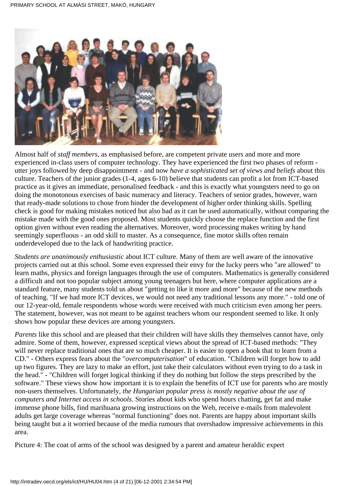

Almost half of *staff members*, as emphasised before, are competent private users and more and more experienced in-class users of computer technology. They have experienced the first two phases of reform utter joys followed by deep disappointment - and now *have a sophisticated set of views and beliefs* about this culture. Teachers of the junior grades (1-4, ages 6-10) believe that students can profit a lot from ICT-based practice as it gives an immediate, personalised feedback - and this is exactly what youngsters need to go on doing the monotonous exercises of basic numeracy and literacy. Teachers of senior grades, however, warn that ready-made solutions to chose from hinder the development of higher order thinking skills. Spelling check is good for making mistakes noticed but also bad as it can be used automatically, without comparing the mistake made with the good ones proposed. Most students quickly choose the replace function and the first option given without even reading the alternatives. Moreover, word processing makes writing by hand seemingly superfluous - an odd skill to master. As a consequence, fine motor skills often remain underdeveloped due to the lack of handwriting practice.

*Students are unanimously enthusiastic* about ICT culture. Many of them are well aware of the innovative projects carried out at this school. Some even expressed their envy for the lucky peers who "are allowed" to learn maths, physics and foreign languages through the use of computers. Mathematics is generally considered a difficult and not too popular subject among young teenagers but here, where computer applications are a standard feature, many students told us about "getting to like it more and more" because of the new methods of teaching. "If we had more ICT devices, we would not need any traditional lessons any more." - told one of our 12-year-old, female respondents whose words were received with much criticism even among her peers. The statement, however, was not meant to be against teachers whom our respondent seemed to like. It only shows how popular these devices are among youngsters.

*Parents* like this school and are pleased that their children will have skills they themselves cannot have, only admire. Some of them, however, expressed sceptical views about the spread of ICT-based methods: "They will never replace traditional ones that are so much cheaper. It is easier to open a book that to learn from a CD." - Others express fears about the "*overcomputerisation*" of education. "Children will forget how to add up two figures. They are lazy to make an effort, just take their calculators without even trying to do a task in the head." - "Children will forget logical thinking if they do nothing but follow the steps prescribed by the software." These views show how important it is to explain the benefits of ICT use for parents who are mostly non-users themselves. Unfortunately, *the Hungarian popular press is mostly negative about the use of computers and Internet access in schools*. Stories about kids who spend hours chatting, get fat and make immense phone bills, find marihuana growing instructions on the Web, receive e-mails from malevolent adults get large coverage whereas "normal functioning" does not. Parents are happy about important skills being taught but a it worried because of the media rumours that overshadow impressive achievements in this area.

Picture 4: The coat of arms of the school was designed by a parent and amateur heraldic expert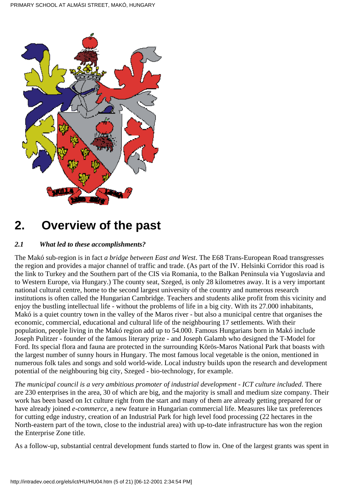

# **2. Overview of the past**

## *2.1 What led to these accomplishments?*

The Makó sub-region is in fact *a bridge between East and West*. The E68 Trans-European Road transgresses the region and provides a major channel of traffic and trade. (As part of the IV. Helsinki Corridor this road is the link to Turkey and the Southern part of the CIS via Romania, to the Balkan Peninsula via Yugoslavia and to Western Europe, via Hungary.) The county seat, Szeged, is only 28 kilometres away. It is a very important national cultural centre, home to the second largest university of the country and numerous research institutions is often called the Hungarian Cambridge. Teachers and students alike profit from this vicinity and enjoy the bustling intellectual life - without the problems of life in a big city. With its 27.000 inhabitants, Makó is a quiet country town in the valley of the Maros river - but also a municipal centre that organises the economic, commercial, educational and cultural life of the neighbouring 17 settlements. With their population, people living in the Makó region add up to 54.000. Famous Hungarians born in Makó include Joseph Pulitzer - founder of the famous literary prize - and Joseph Galamb who designed the T-Model for Ford. Its special flora and fauna are protected in the surrounding Körös-Maros National Park that boasts with the largest number of sunny hours in Hungary. The most famous local vegetable is the onion, mentioned in numerous folk tales and songs and sold world-wide. Local industry builds upon the research and development potential of the neighbouring big city, Szeged - bio-technology, for example.

*The municipal council is a very ambitious promoter of industrial development - ICT culture included*. There are 230 enterprises in the area, 30 of which are big, and the majority is small and medium size company. Their work has been based on Ict culture right from the start and many of them are already getting prepared for or have already joined *e-commerce,* a new feature in Hungarian commercial life. Measures like tax preferences for cutting edge industry, creation of an Industrial Park for high level food processing (22 hectares in the North-eastern part of the town, close to the industrial area) with up-to-date infrastructure has won the region the Enterprise Zone title.

As a follow-up, substantial central development funds started to flow in. One of the largest grants was spent in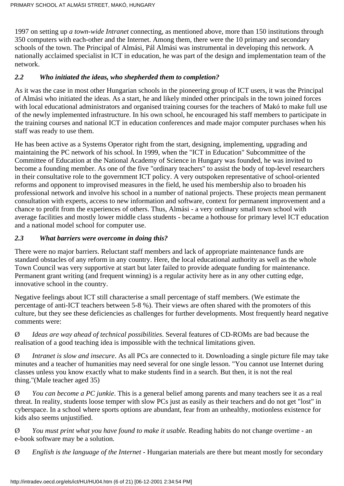1997 on setting up *a town-wide Intranet* connecting, as mentioned above, more than 150 institutions through 350 computers with each-other and the Internet. Among them, there were the 10 primary and secondary schools of the town. The Principal of Almási, Pál Almási was instrumental in developing this network. A nationally acclaimed specialist in ICT in education, he was part of the design and implementation team of the network.

### *2.2 Who initiated the ideas, who shepherded them to completion?*

As it was the case in most other Hungarian schools in the pioneering group of ICT users, it was the Principal of Almási who initiated the ideas. As a start, he and likely minded other principals in the town joined forces with local educational administrators and organised training courses for the teachers of Makó to make full use of the newly implemented infrastructure. In his own school, he encouraged his staff members to participate in the training courses and national ICT in education conferences and made major computer purchases when his staff was ready to use them.

He has been active as a Systems Operator right from the start, designing, implementing, upgrading and maintaining the PC network of his school. In 1999, when the "ICT in Education" Subcommittee of the Committee of Education at the National Academy of Science in Hungary was founded, he was invited to become a founding member. As one of the five "ordinary teachers" to assist the body of top-level researchers in their consultative role to the government ICT policy. A very outspoken representative of school-oriented reforms and opponent to improvised measures in the field, he used his membership also to broaden his professional network and involve his school in a number of national projects. These projects mean permanent consultation with experts, access to new information and software, context for permanent improvement and a chance to profit from the experiences of others. Thus, Almási - a very ordinary small town school with average facilities and mostly lower middle class students - became a hothouse for primary level ICT education and a national model school for computer use.

#### *2.3 What barriers were overcome in doing this?*

There were no major barriers. Reluctant staff members and lack of appropriate maintenance funds are standard obstacles of any reform in any country. Here, the local educational authority as well as the whole Town Council was very supportive at start but later failed to provide adequate funding for maintenance. Permanent grant writing (and frequent winning) is a regular activity here as in any other cutting edge, innovative school in the country.

Negative feelings about ICT still characterise a small percentage of staff members. (We estimate the percentage of anti-ICT teachers between 5-8 %). Their views are often shared with the promoters of this culture, but they see these deficiencies as challenges for further developments. Most frequently heard negative comments were:

Ø *Ideas are way ahead of technical possibilities*. Several features of CD-ROMs are bad because the realisation of a good teaching idea is impossible with the technical limitations given.

Ø *Intranet is slow and insecure*. As all PCs are connected to it. Downloading a single picture file may take minutes and a teacher of humanities may need several for one single lesson. "You cannot use Internet during classes unless you know exactly what to make students find in a search. But then, it is not the real thing."(Male teacher aged 35)

Ø *You can become a PC junkie*. This is a general belief among parents and many teachers see it as a real threat. In reality, students loose temper with slow PCs just as easily as their teachers and do not get "lost" in cyberspace. In a school where sports options are abundant, fear from an unhealthy, motionless existence for kids also seems unjustified.

Ø *You must print what you have found to make it usable.* Reading habits do not change overtime - an e-book software may be a solution.

Ø *English is the language of the Internet* - Hungarian materials are there but meant mostly for secondary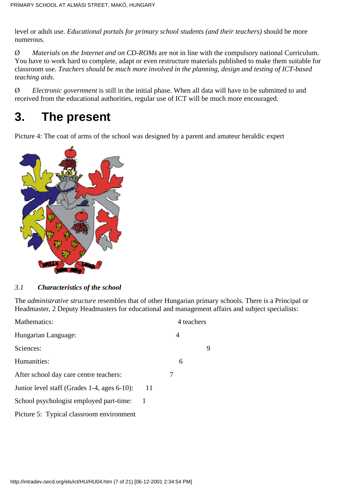level or adult use. *Educational portals for primary school students (and their teachers)* should be more numerous.

Ø *Materials on the Internet and on CD-ROMs* are not in line with the compulsory national Curriculum. You have to work hard to complete, adapt or even restructure materials published to make them suitable for classroom use. *Teachers should be much more involved in the planning, design and testing of ICT-based teaching aids*.

Ø *Electronic government* is still in the initial phase. When all data will have to be submitted to and received from the educational authorities, regular use of ICT will be much more encouraged.

# **3. The present**

Picture 4: The coat of arms of the school was designed by a parent and amateur heraldic expert



## *3.1 Characteristics of the school*

The *administrative structure* resembles that of other Hungarian primary schools. There is a Principal or Headmaster, 2 Deputy Headmasters for educational and management affairs and subject specialists:

|    | 4 teachers |   |
|----|------------|---|
|    | 4          |   |
|    |            | 9 |
|    | 6          |   |
|    | 7          |   |
| 11 |            |   |
| -1 |            |   |
|    |            |   |
|    |            |   |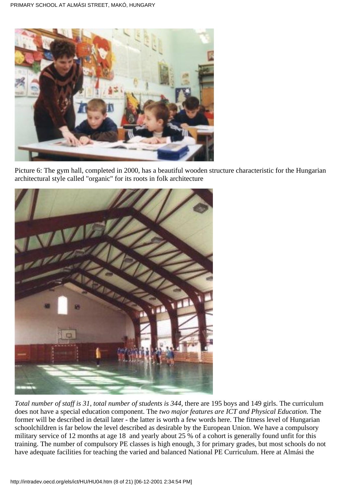

Picture 6: The gym hall, completed in 2000, has a beautiful wooden structure characteristic for the Hungarian architectural style called "organic" for its roots in folk architecture



*Total number of staff is 31, total number of students is 344*, there are 195 boys and 149 girls. The curriculum does not have a special education component. The *two major features are ICT and Physical Education.* The former will be described in detail later - the latter is worth a few words here. The fitness level of Hungarian schoolchildren is far below the level described as desirable by the European Union. We have a compulsory military service of 12 months at age 18 and yearly about 25 % of a cohort is generally found unfit for this training. The number of compulsory PE classes is high enough, 3 for primary grades, but most schools do not have adequate facilities for teaching the varied and balanced National PE Curriculum. Here at Almási the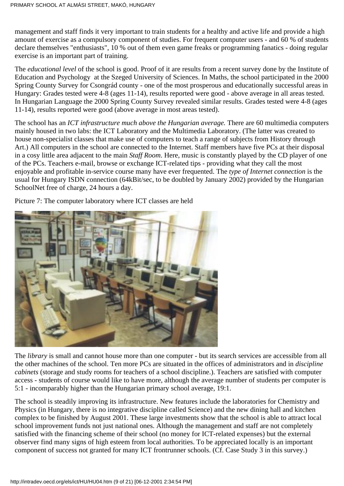management and staff finds it very important to train students for a healthy and active life and provide a high amount of exercise as a compulsory component of studies. For frequent computer users - and 60 % of students declare themselves "enthusiasts", 10 % out of them even game freaks or programming fanatics - doing regular exercise is an important part of training.

The *educational level* of the school is good. Proof of it are results from a recent survey done by the Institute of Education and Psychology at the Szeged University of Sciences. In Maths, the school participated in the 2000 Spring County Survey for Csongrád county - one of the most prosperous and educationally successful areas in Hungary: Grades tested were 4-8 (ages 11-14), results reported were good - above average in all areas tested. In Hungarian Language the 2000 Spring County Survey revealed similar results. Grades tested were 4-8 (ages 11-14), results reported were good (above average in most areas tested).

The school has an *ICT infrastructure much above the Hungarian average.* There are 60 multimedia computers mainly housed in two labs: the ICT Laboratory and the Multimedia Laboratory. (The latter was created to house non-specialist classes that make use of computers to teach a range of subjects from History through Art.) All computers in the school are connected to the Internet. Staff members have five PCs at their disposal in a cosy little area adjacent to the main *Staff Room*. Here, music is constantly played by the CD player of one of the PCs. Teachers e-mail, browse or exchange ICT-related tips - providing what they call the most enjoyable and profitable in-service course many have ever frequented. The *type of Internet connection* is the usual for Hungary ISDN connection (64kBit/sec, to be doubled by January 2002) provided by the Hungarian SchoolNet free of charge, 24 hours a day.

Picture 7: The computer laboratory where ICT classes are held



The *library* is small and cannot house more than one computer - but its search services are accessible from all the other machines of the school. Ten more PCs are situated in the offices of administrators and in *discipline cabinets* (storage and study rooms for teachers of a school discipline.). Teachers are satisfied with computer access - students of course would like to have more, although the average number of students per computer is 5:1 - incomparably higher than the Hungarian primary school average, 19:1.

The school is steadily improving its infrastructure. New features include the laboratories for Chemistry and Physics (in Hungary, there is no integrative discipline called Science) and the new dining hall and kitchen complex to be finished by August 2001. These large investments show that the school is able to attract local school improvement funds not just national ones. Although the management and staff are not completely satisfied with the financing scheme of their school (no money for ICT-related expenses) but the external observer find many signs of high esteem from local authorities. To be appreciated locally is an important component of success not granted for many ICT frontrunner schools. (Cf. Case Study 3 in this survey.)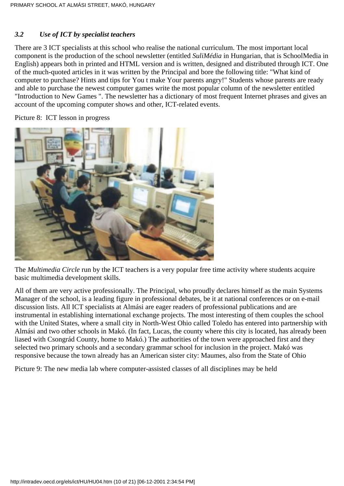### *3.2 Use of ICT by specialist teachers*

There are 3 ICT specialists at this school who realise the national curriculum. The most important local component is the production of the school newsletter (entitled *SuliMédia* in Hungarian, that is SchoolMedia in English) appears both in printed and HTML version and is written, designed and distributed through ICT. One of the much-quoted articles in it was written by the Principal and bore the following title: "What kind of computer to purchase? Hints and tips for You t make Your parents angry!" Students whose parents are ready and able to purchase the newest computer games write the most popular column of the newsletter entitled "Introduction to New Games ". The newsletter has a dictionary of most frequent Internet phrases and gives an account of the upcoming computer shows and other, ICT-related events.

Picture 8: ICT lesson in progress



The *Multimedia Circle* run by the ICT teachers is a very popular free time activity where students acquire basic multimedia development skills.

All of them are very active professionally. The Principal, who proudly declares himself as the main Systems Manager of the school, is a leading figure in professional debates, be it at national conferences or on e-mail discussion lists. All ICT specialists at Almási are eager readers of professional publications and are instrumental in establishing international exchange projects. The most interesting of them couples the school with the United States, where a small city in North-West Ohio called Toledo has entered into partnership with Almási and two other schools in Makó. (In fact, Lucas, the county where this city is located, has already been liased with Csongrád County, home to Makó.) The authorities of the town were approached first and they selected two primary schools and a secondary grammar school for inclusion in the project. Makó was responsive because the town already has an American sister city: Maumes, also from the State of Ohio

Picture 9: The new media lab where computer-assisted classes of all disciplines may be held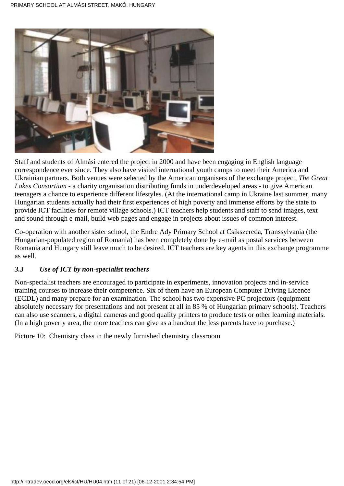

Staff and students of Almási entered the project in 2000 and have been engaging in English language correspondence ever since. They also have visited international youth camps to meet their America and Ukrainian partners. Both venues were selected by the American organisers of the exchange project, *The Great Lakes Consortium* - a charity organisation distributing funds in underdeveloped areas - to give American teenagers a chance to experience different lifestyles. (At the international camp in Ukraine last summer, many Hungarian students actually had their first experiences of high poverty and immense efforts by the state to provide ICT facilities for remote village schools.) ICT teachers help students and staff to send images, text and sound through e-mail, build web pages and engage in projects about issues of common interest.

Co-operation with another sister school, the Endre Ady Primary School at Csíkszereda, Transsylvania (the Hungarian-populated region of Romania) has been completely done by e-mail as postal services between Romania and Hungary still leave much to be desired. ICT teachers are key agents in this exchange programme as well.

#### *3.3 Use of ICT by non-specialist teachers*

Non-specialist teachers are encouraged to participate in experiments, innovation projects and in-service training courses to increase their competence. Six of them have an European Computer Driving Licence (ECDL) and many prepare for an examination. The school has two expensive PC projectors (equipment absolutely necessary for presentations and not present at all in 85 % of Hungarian primary schools). Teachers can also use scanners, a digital cameras and good quality printers to produce tests or other learning materials. (In a high poverty area, the more teachers can give as a handout the less parents have to purchase.)

Picture 10: Chemistry class in the newly furnished chemistry classroom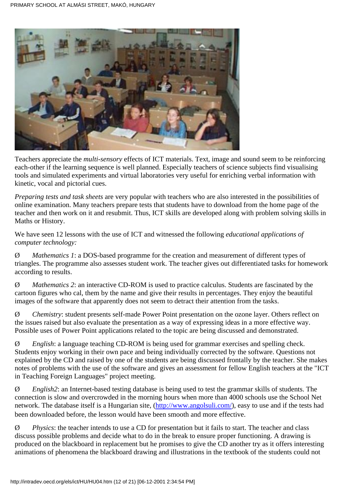

Teachers appreciate the *multi-sensory* effects of ICT materials. Text, image and sound seem to be reinforcing each-other if the learning sequence is well planned. Especially teachers of science subjects find visualising tools and simulated experiments and virtual laboratories very useful for enriching verbal information with kinetic, vocal and pictorial cues.

*Preparing tests and task sheets* are very popular with teachers who are also interested in the possibilities of online examination. Many teachers prepare tests that students have to download from the home page of the teacher and then work on it and resubmit. Thus, ICT skills are developed along with problem solving skills in Maths or History.

We have seen 12 lessons with the use of ICT and witnessed the following *educational applications of computer technology:*

Ø *Mathematics 1*: a DOS-based programme for the creation and measurement of different types of triangles. The programme also assesses student work. The teacher gives out differentiated tasks for homework according to results.

Ø *Mathematics 2*: an interactive CD-ROM is used to practice calculus. Students are fascinated by the cartoon figures who cal, them by the name and give their results in percentages. They enjoy the beautiful images of the software that apparently does not seem to detract their attention from the tasks.

Ø *Chemistry*: student presents self-made Power Point presentation on the ozone layer. Others reflect on the issues raised but also evaluate the presentation as a way of expressing ideas in a more effective way. Possible uses of Power Point applications related to the topic are being discussed and demonstrated.

Ø *English*: a language teaching CD-ROM is being used for grammar exercises and spelling check. Students enjoy working in their own pace and being individually corrected by the software. Questions not explained by the CD and raised by one of the students are being discussed frontally by the teacher. She makes notes of problems with the use of the software and gives an assessment for fellow English teachers at the "ICT in Teaching Foreign Languages" project meeting.

Ø *English2*: an Internet-based testing database is being used to test the grammar skills of students. The connection is slow and overcrowded in the morning hours when more than 4000 schools use the School Net network. The database itself is a Hungarian site, [\(http://www.angolsuli.com/\)](http://www.angolsuli.com/), easy to use and if the tests had been downloaded before, the lesson would have been smooth and more effective.

Ø *Physics*: the teacher intends to use a CD for presentation but it fails to start. The teacher and class discuss possible problems and decide what to do in the break to ensure proper functioning. A drawing is produced on the blackboard in replacement but he promises to give the CD another try as it offers interesting animations of phenomena the blackboard drawing and illustrations in the textbook of the students could not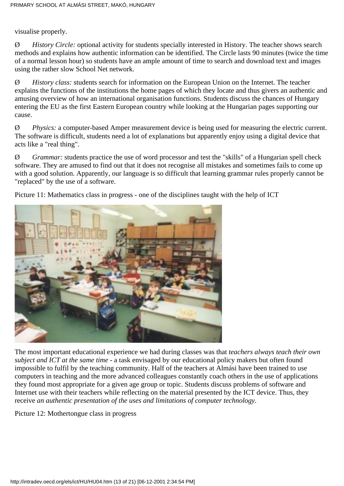visualise properly.

Ø *History Circle:* optional activity for students specially interested in History. The teacher shows search methods and explains how authentic information can be identified. The Circle lasts 90 minutes (twice the time of a normal lesson hour) so students have an ample amount of time to search and download text and images using the rather slow School Net network.

Ø *History class:* students search for information on the European Union on the Internet. The teacher explains the functions of the institutions the home pages of which they locate and thus givers an authentic and amusing overview of how an international organisation functions. Students discuss the chances of Hungary entering the EU as the first Eastern European country while looking at the Hungarian pages supporting our cause.

Ø *Physics:* a computer-based Amper measurement device is being used for measuring the electric current. The software is difficult, students need a lot of explanations but apparently enjoy using a digital device that acts like a "real thing".

Ø *Grammar:* students practice the use of word processor and test the "skills" of a Hungarian spell check software. They are amused to find out that it does not recognise all mistakes and sometimes fails to come up with a good solution. Apparently, our language is so difficult that learning grammar rules properly cannot be "replaced" by the use of a software.

Picture 11: Mathematics class in progress - one of the disciplines taught with the help of ICT



The most important educational experience we had during classes was that *teachers always teach their own subject and ICT at the same time* - a task envisaged by our educational policy makers but often found impossible to fulfil by the teaching community. Half of the teachers at Almási have been trained to use computers in teaching and the more advanced colleagues constantly coach others in the use of applications they found most appropriate for a given age group or topic. Students discuss problems of software and Internet use with their teachers while reflecting on the material presented by the ICT device. Thus, they receive *an authentic presentation of the uses and limitations of computer technology*.

Picture 12: Mothertongue class in progress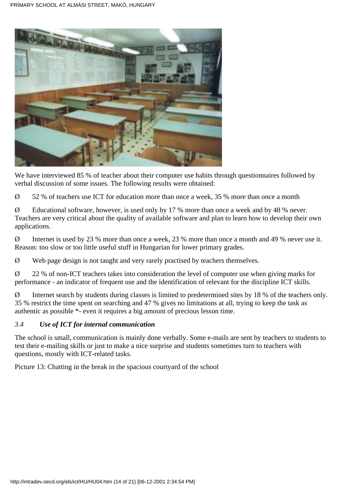

We have interviewed 85 % of teacher about their computer use habits through questionnaires followed by verbal discussion of some issues. The following results were obtained:

 $\varnothing$  52 % of teachers use ICT for education more than once a week, 35 % more than once a month

Ø Educational software, however, is used only by 17 % more than once a week and by 48 % never. Teachers are very critical about the quality of available software and plan to learn how to develop their own applications.

Ø Internet is used by 23 % more than once a week, 23 % more than once a month and 49 % never use it. Reason: too slow or too little useful stuff in Hungarian for lower primary grades.

Ø Web page design is not taught and very rarely practised by teachers themselves.

Ø 22 % of non-ICT teachers takes into consideration the level of computer use when giving marks for performance - an indicator of frequent use and the identification of relevant for the discipline ICT skills.

Ø Internet search by students during classes is limited to predetermined sites by 18 % of the teachers only. 35 % restrict the time spent on searching and 47 % gives no limitations at all, trying to keep the task as authentic as possible \*- even it requires a big amount of precious lesson time.

#### *3.4 Use of ICT for internal communication*

The school is small, communication is mainly done verbally. Some e-mails are sent by teachers to students to test their e-mailing skills or just to make a nice surprise and students sometimes turn to teachers with questions, mostly with ICT-related tasks.

Picture 13: Chatting in the break in the spacious courtyard of the school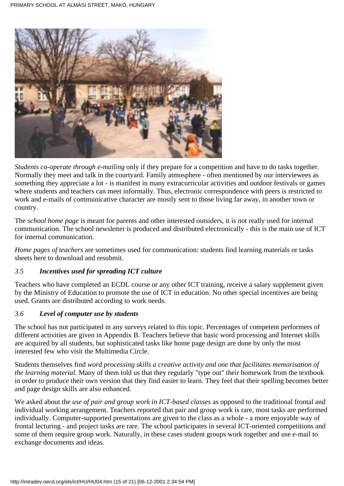

*Students co-operate through e-mailing* only if they prepare for a competition and have to do tasks together. Normally they meet and talk in the courtyard. Family atmosphere - often mentioned by our interviewees as something they appreciate a lot - is manifest in many extracurricular activities and outdoor festivals or games where students and teachers can meet informally. Thus, electronic correspondence with peers is restricted to work and e-mails of communicative character are mostly sent to those living far away, in another town or country.

The *school home page* is meant for parents and other interested outsiders, it is not really used for internal communication. The school newsletter is produced and distributed electronically - this is the main use of ICT for internal communication.

*Home pages of teachers* are sometimes used for communication: students find learning materials or tasks sheets here to download and resubmit.

## *3.5 Incentives used for spreading ICT culture*

Teachers who have completed an ECDL course or any other ICT training, receive a salary supplement given by the Ministry of Education to promote the use of ICT in education. No other special incentives are being used. Grants are distributed according to work needs.

#### *3.6 Level of computer use by students*

The school has not participated in any surveys related to this topic. Percentages of competent performers of different activities are given in Appendix B. Teachers believe that basic word processing and Internet skills are acquired by all students, but sophisticated tasks like home page design are done by only the most interested few who visit the Multimedia Circle.

Students themselves find *word processing skills a creative activity and one that facilitates memorisation of the learning material*. Many of them told us that they regularly "type out" their homework from the textbook in order to produce their own version that they find easier to learn. They feel that their spelling becomes better and page design skills are also enhanced.

We asked about the *use of pair and group work in ICT-based classes* as opposed to the traditional frontal and individual working arrangement. Teachers reported that pair and group work is rare, most tasks are performed individually. Computer-supported presentations are given to the class as a whole - a more enjoyable way of frontal lecturing - and project tasks are rare. The school participates in several ICT-oriented competitions and some of them require group work. Naturally, in these cases student groups work together and use e-mail to exchange documents and ideas.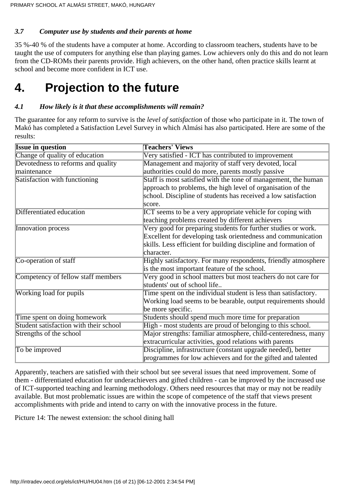### *3.7 Computer use by students and their parents at home*

35 %-40 % of the students have a computer at home. According to classroom teachers, students have to be taught the use of computers for anything else than playing games. Low achievers only do this and do not learn from the CD-ROMs their parents provide. High achievers, on the other hand, often practice skills learnt at school and become more confident in ICT use.

## **4. Projection to the future**

### *4.1 How likely is it that these accomplishments will remain?*

The guarantee for any reform to survive is the *level of satisfaction* of those who participate in it. The town of Makó has completed a Satisfaction Level Survey in which Almási has also participated. Here are some of the results:

| <b>Issue in question</b>               | <b>Teachers' Views</b>                                          |  |
|----------------------------------------|-----------------------------------------------------------------|--|
| Change of quality of education         | Very satisfied - ICT has contributed to improvement             |  |
| Devotedness to reforms and quality     | Management and majority of staff very devoted, local            |  |
| maintenance                            | authorities could do more, parents mostly passive               |  |
| Satisfaction with functioning          | Staff is most satisfied with the tone of management, the human  |  |
|                                        | approach to problems, the high level of organisation of the     |  |
|                                        | school. Discipline of students has received a low satisfaction  |  |
|                                        | score.                                                          |  |
| Differentiated education               | ICT seems to be a very appropriate vehicle for coping with      |  |
|                                        | teaching problems created by different achievers                |  |
| Innovation process                     | Very good for preparing students for further studies or work.   |  |
|                                        | Excellent for developing task orientedness and communication    |  |
|                                        | skills. Less efficient for building discipline and formation of |  |
|                                        | character.                                                      |  |
| Co-operation of staff                  | Highly satisfactory. For many respondents, friendly atmosphere  |  |
|                                        | is the most important feature of the school.                    |  |
| Competency of fellow staff members     | Very good in school matters but most teachers do not care for   |  |
|                                        | students' out of school life                                    |  |
| Working load for pupils                | Time spent on the individual student is less than satisfactory. |  |
|                                        | Working load seems to be bearable, output requirements should   |  |
|                                        | be more specific.                                               |  |
| Time spent on doing homework           | Students should spend much more time for preparation            |  |
| Student satisfaction with their school | High - most students are proud of belonging to this school.     |  |
| Strengths of the school                | Major strengths: familiar atmosphere, child-centeredness, many  |  |
|                                        | extracurricular activities, good relations with parents         |  |
| To be improved                         | Discipline, infrastructure (constant upgrade needed), better    |  |
|                                        | programmes for low achievers and for the gifted and talented    |  |

Apparently, teachers are satisfied with their school but see several issues that need improvement. Some of them - differentiated education for underachievers and gifted children - can be improved by the increased use of ICT-supported teaching and learning methodology. Others need resources that may or may not be readily available. But most problematic issues are within the scope of competence of the staff that views present accomplishments with pride and intend to carry on with the innovative process in the future.

Picture 14: The newest extension: the school dining hall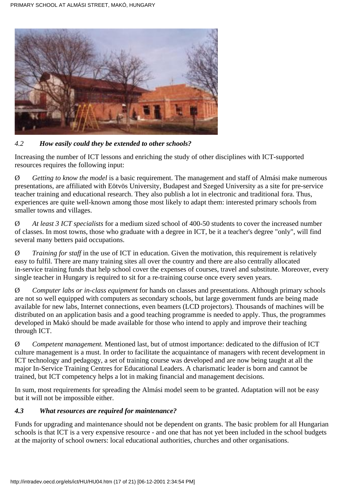

## *4.2 How easily could they be extended to other schools?*

Increasing the number of ICT lessons and enriching the study of other disciplines with ICT-supported resources requires the following input:

Ø *Getting to know the model* is a basic requirement. The management and staff of Almási make numerous presentations, are affiliated with Eötvös University, Budapest and Szeged University as a site for pre-service teacher training and educational research. They also publish a lot in electronic and traditional fora. Thus, experiences are quite well-known among those most likely to adapt them: interested primary schools from smaller towns and villages.

Ø *At least 3 ICT specialists* for a medium sized school of 400-50 students to cover the increased number of classes. In most towns, those who graduate with a degree in ICT, be it a teacher's degree "only", will find several many betters paid occupations.

Ø *Training for staff* in the use of ICT in education. Given the motivation, this requirement is relatively easy to fulfil. There are many training sites all over the country and there are also centrally allocated in-service training funds that help school cover the expenses of courses, travel and substitute. Moreover, every single teacher in Hungary is required to sit for a re-training course once every seven years.

Ø *Computer labs or in-class equipment* for hands on classes and presentations. Although primary schools are not so well equipped with computers as secondary schools, but large government funds are being made available for new labs, Internet connections, even beamers (LCD projectors). Thousands of machines will be distributed on an application basis and a good teaching programme is needed to apply. Thus, the programmes developed in Makó should be made available for those who intend to apply and improve their teaching through ICT.

Ø *Competent management.* Mentioned last, but of utmost importance: dedicated to the diffusion of ICT culture management is a must. In order to facilitate the acquaintance of managers with recent development in ICT technology and pedagogy, a set of training course was developed and are now being taught at all the major In-Service Training Centres for Educational Leaders. A charismatic leader is born and cannot be trained, but ICT competency helps a lot in making financial and management decisions.

In sum, most requirements for spreading the Almási model seem to be granted. Adaptation will not be easy but it will not be impossible either.

#### *4.3 What resources are required for maintenance?*

Funds for upgrading and maintenance should not be dependent on grants. The basic problem for all Hungarian schools is that ICT is a very expensive resource - and one that has not yet been included in the school budgets at the majority of school owners: local educational authorities, churches and other organisations.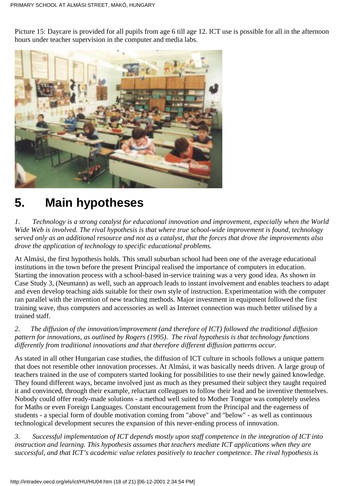Picture 15: Daycare is provided for all pupils from age 6 till age 12. ICT use is possible for all in the afternoon hours under teacher supervision in the computer and media labs.



# **5. Main hypotheses**

*1. Technology is a strong catalyst for educational innovation and improvement, especially when the World Wide Web is involved. The rival hypothesis is that where true school-wide improvement is found, technology served only as an additional resource and not as a catalyst, that the forces that drove the improvements also drove the application of technology to specific educational problems.*

At Almási, the first hypothesis holds. This small suburban school had been one of the average educational institutions in the town before the present Principal realised the importance of computers in education. Starting the innovation process with a school-based in-service training was a very good idea. As shown in Case Study 3, (Neumann) as well, such an approach leads to instant involvement and enables teachers to adapt and even develop teaching aids suitable for their own style of instruction. Experimentation with the computer ran parallel with the invention of new teaching methods. Major investment in equipment followed the first training wave, thus computers and accessories as well as Internet connection was much better utilised by a trained staff.

### *2. The diffusion of the innovation/improvement (and therefore of ICT) followed the traditional diffusion pattern for innovations, as outlined by Rogers (1995). The rival hypothesis is that technology functions differently from traditional innovations and that therefore different diffusion patterns occur.*

As stated in all other Hungarian case studies, the diffusion of ICT culture in schools follows a unique pattern that does not resemble other innovation processes. At Almási, it was basically needs driven. A large group of teachers trained in the use of computers started looking for possibilities to use their newly gained knowledge. They found different ways, became involved just as much as they presumed their subject they taught required it and convinced, through their example, reluctant colleagues to follow their lead and be inventive themselves. Nobody could offer ready-made solutions - a method well suited to Mother Tongue was completely useless for Maths or even Foreign Languages. Constant encouragement from the Principal and the eagerness of students - a special form of double motivation coming from "above" and "below" - as well as continuous technological development secures the expansion of this never-ending process of innovation.

*3. Successful implementation of ICT depends mostly upon staff competence in the integration of ICT into instruction and learning. This hypothesis assumes that teachers mediate ICT applications when they are successful, and that ICT's academic value relates positively to teacher competence. The rival hypothesis is*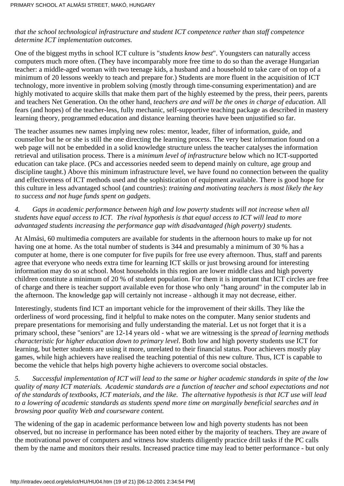#### *that the school technological infrastructure and student ICT competence rather than staff competence determine ICT implementation outcomes.*

One of the biggest myths in school ICT culture is "*students know best*". Youngsters can naturally access computers much more often. (They have incomparably more free time to do so than the average Hungarian teacher: a middle-aged woman with two teenage kids, a husband and a household to take care of on top of a minimum of 20 lessons weekly to teach and prepare for.) Students are more fluent in the acquisition of ICT technology, more inventive in problem solving (mostly through time-consuming experimentation) and are highly motivated to acquire skills that make them part of the highly esteemed by the press, their peers, parents and teachers Net Generation. On the other hand, *teachers are and will be the ones in charge of education*. All fears (and hopes) of the teacher-less, fully mechanic, self-supportive teaching package as described in mastery learning theory, programmed education and distance learning theories have been unjustified so far.

The teacher assumes new names implying new roles: mentor, leader, filter of information, guide, and counsellor but he or she is still the one directing the learning process. The very best information found on a web page will not be embedded in a solid knowledge structure unless the teacher catalyses the information retrieval and utilisation process. There is a *minimum level of infrastructure* below which no ICT-supported education can take place. (PCs and accessories needed seem to depend mainly on culture, age group and discipline taught.) Above this minimum infrastructure level, we have found no connection between the quality and effectiveness of ICT methods used and the sophistication of equipment available. There is good hope for this culture in less advantaged school (and countries): *training and motivating teachers is most likely the key to success and not huge funds spent on gadgets*.

### *4. Gaps in academic performance between high and low poverty students will not increase when all students have equal access to ICT. The rival hypothesis is that equal access to ICT will lead to more advantaged students increasing the performance gap with disadvantaged (high poverty) students.*

At Almási, 60 multimedia computers are available for students in the afternoon hours to make up for not having one at home. As the total number of students is 344 and presumably a minimum of 30 % has a computer at home, there is one computer for five pupils for free use every afternoon. Thus, staff and parents agree that everyone who needs extra time for learning ICT skills or just browsing around for interesting information may do so at school. Most households in this region are lower middle class and high poverty children constitute a minimum of 20 % of student population. For them it is important that ICT circles are free of charge and there is teacher support available even for those who only "hang around" in the computer lab in the afternoon. The knowledge gap will certainly not increase - although it may not decrease, either.

Interestingly, students find ICT an important vehicle for the improvement of their skills. They like the orderliness of word processing, find it helpful to make notes on the computer. Many senior students and prepare presentations for memorising and fully understanding the material. Let us not forget that it is a primary school, these "seniors" are 12-14 years old - what we are witnessing is the *spread of learning methods characteristic for higher education down to primary level*. Both low and high poverty students use ICT for learning, but better students are using it more, unrelated to their financial status. Poor achievers mostly play games, while high achievers have realised the teaching potential of this new culture. Thus, ICT is capable to become the vehicle that helps high poverty highe achievers to overcome social obstacles.

*5. Successful implementation of ICT will lead to the same or higher academic standards in spite of the low quality of many ICT materials. Academic standards are a function of teacher and school expectations and not of the standards of textbooks, ICT materials, and the like. The alternative hypothesis is that ICT use will lead to a lowering of academic standards as students spend more time on marginally beneficial searches and in browsing poor quality Web and courseware content.*

The widening of the gap in academic performance between low and high poverty students has not been observed, but no increase in performance has been noted either by the majority of teachers. They are aware of the motivational power of computers and witness how students diligently practice drill tasks if the PC calls them by the name and monitors their results. Increased practice time may lead to better performance - but only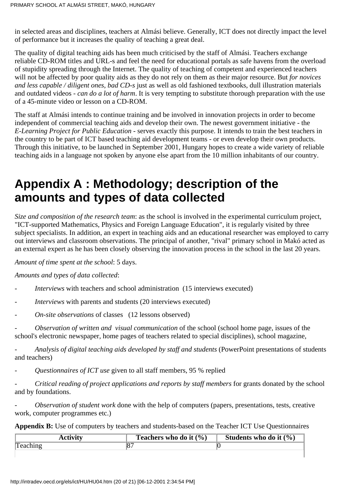in selected areas and disciplines, teachers at Almási believe. Generally, ICT does not directly impact the level of performance but it increases the quality of teaching a great deal.

The quality of digital teaching aids has been much criticised by the staff of Almási. Teachers exchange reliable CD-ROM titles and URL-s and feel the need for educational portals as safe havens from the overload of stupidity spreading through the Internet. The quality of teaching of competent and experienced teachers will not be affected by poor quality aids as they do not rely on them as their major resource. But *for novices and less capable / diligent ones, bad CD-s* just as well as old fashioned textbooks, dull illustration materials and outdated videos - *can do a lot of harm*. It is very tempting to substitute thorough preparation with the use of a 45-minute video or lesson on a CD-ROM.

The staff at Almási intends to continue training and be involved in innovation projects in order to become independent of commercial teaching aids and develop their own. The newest government initiative - the *E-Learning Project for Public Education -* serves exactly this purpose. It intends to train the best teachers in the country to be part of ICT based teaching aid development teams - or even develop their own products. Through this initiative, to be launched in September 2001, Hungary hopes to create a wide variety of reliable teaching aids in a language not spoken by anyone else apart from the 10 million inhabitants of our country.

## **Appendix A : Methodology; description of the amounts and types of data collected**

*Size and composition of the research team*: as the school is involved in the experimental curriculum project, "ICT-supported Mathematics, Physics and Foreign Language Education", it is regularly visited by three subject specialists. In addition, an expert in teaching aids and an educational researcher was employed to carry out interviews and classroom observations. The principal of another, "rival" primary school in Makó acted as an external expert as he has been closely observing the innovation process in the school in the last 20 years.

*Amount of time spent at the school*: 5 days.

*Amounts and types of data collected*:

- *Interviews* with teachers and school administration (15 interviews executed)
- *Interviews* with parents and students (20 interviews executed)
- *On-site observations* of classes (12 lessons observed)

- *Observation of written and visual communication* of the school (school home page, issues of the school's electronic newspaper, home pages of teachers related to special disciplines), school magazine,

- *Analysis of digital teaching aids developed by staff and students* (PowerPoint presentations of students and teachers)

- *Questionnaires of ICT use* given to all staff members, 95 % replied

- *Critical reading of project applications and reports by staff members* for grants donated by the school and by foundations.

- *Observation of student work* done with the help of computers (papers, presentations, tests, creative work, computer programmes etc.)

**Appendix B:** Use of computers by teachers and students-based on the Teacher ICT Use Questionnaires

| <b>Activity</b> | Teachers who do it $(\% )$ | Students who do it $(\% )$ |
|-----------------|----------------------------|----------------------------|
| Teaching        |                            |                            |
|                 |                            |                            |